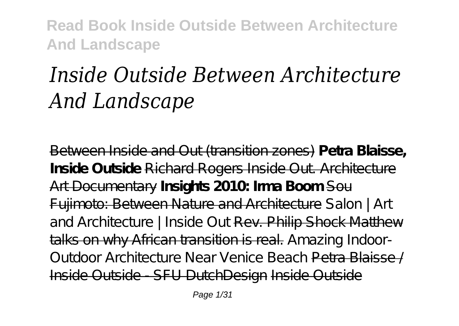# *Inside Outside Between Architecture And Landscape*

Between Inside and Out (transition zones) **Petra Blaisse, Inside Outside** Richard Rogers Inside Out. Architecture Art Documentary **Insights 2010: Irma Boom** Sou Fujimoto: Between Nature and Architecture *Salon | Art* and Architecture | Inside Out Rev. Philip Shock Matthew talks on why African transition is real. *Amazing Indoor-Outdoor Architecture Near Venice Beach* Petra Blaisse / Inside Outside - SFU DutchDesign Inside Outside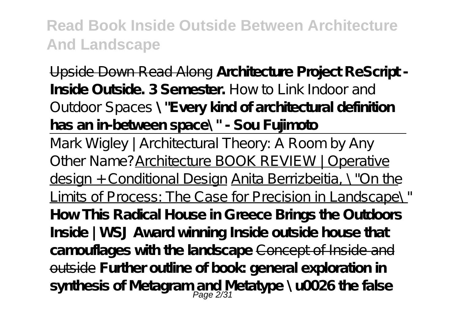Upside Down Read Along **Architecture Project ReScript - Inside Outside. 3 Semester.** *How to Link Indoor and Outdoor Spaces* **\"Every kind of architectural definition has an in-between space\" - Sou Fujimoto**

Mark Wigley | Architectural Theory: A Room by Any Other Name?Architecture BOOK REVIEW | Operative design + Conditional Design Anita Berrizbeitia, \"On the Limits of Process: The Case for Precision in Landscape\" **How This Radical House in Greece Brings the Outdoors Inside | WSJ Award winning Inside outside house that camouflages with the landscape** Concept of Inside and outside **Further outline of book: general exploration in synthesis of Metagram and Metatype \u0026 the false** Page 2/31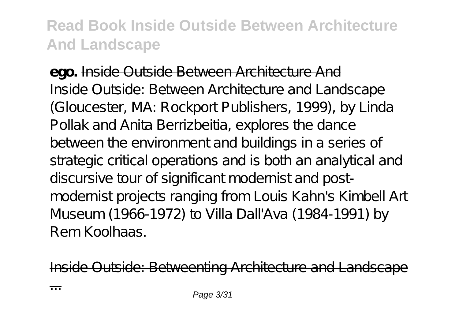**ego.** Inside Outside Between Architecture And Inside Outside: Between Architecture and Landscape (Gloucester, MA: Rockport Publishers, 1999), by Linda Pollak and Anita Berrizbeitia, explores the dance between the environment and buildings in a series of strategic critical operations and is both an analytical and discursive tour of significant modernist and postmodernist projects ranging from Louis Kahn's Kimbell Art Museum (1966-1972) to Villa Dall'Ava (1984-1991) by Rem Koolhaas.

Inside Outside: Betweenting Architecture and Landscape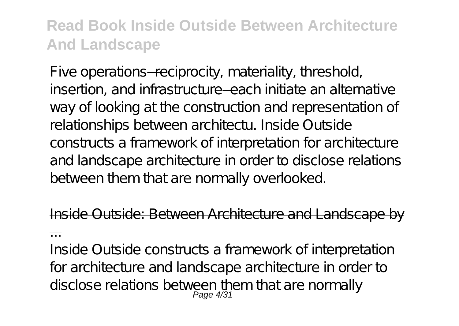Five operations—reciprocity, materiality, threshold, insertion, and infrastructure—each initiate an alternative way of looking at the construction and representation of relationships between architectu. Inside Outside constructs a framework of interpretation for architecture and landscape architecture in order to disclose relations between them that are normally overlooked.

side Outside: Between Architecture and Landscape ...

Inside Outside constructs a framework of interpretation for architecture and landscape architecture in order to disclose relations between them that are normally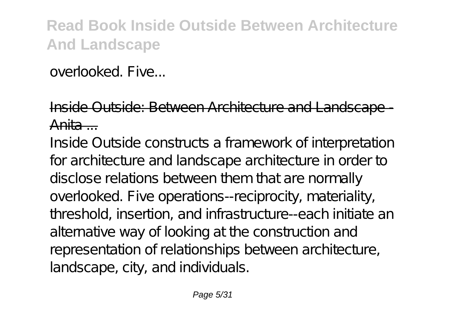overlooked. Five...

#### Inside Outside: Between Architecture and Landscape Anita ...

Inside Outside constructs a framework of interpretation for architecture and landscape architecture in order to disclose relations between them that are normally overlooked. Five operations--reciprocity, materiality, threshold, insertion, and infrastructure--each initiate an alternative way of looking at the construction and representation of relationships between architecture, landscape, city, and individuals.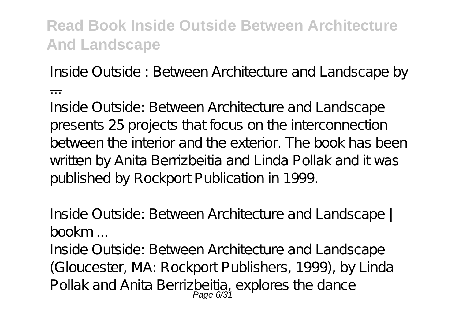Inside Outside : Between Architecture and Landscape by

...

Inside Outside: Between Architecture and Landscape presents 25 projects that focus on the interconnection between the interior and the exterior. The book has been written by Anita Berrizbeitia and Linda Pollak and it was published by Rockport Publication in 1999.

Outside: Between Architecture and Landsca  $h \Omega$ ookm  $\sim$ 

Inside Outside: Between Architecture and Landscape (Gloucester, MA: Rockport Publishers, 1999), by Linda Pollak and Anita Berrizbeitia, explores the dance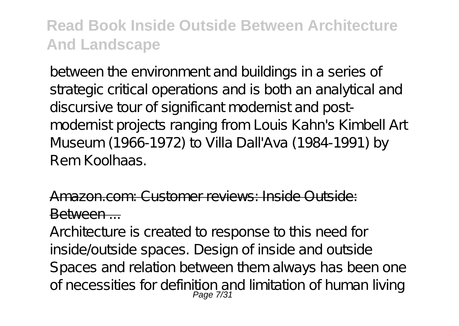between the environment and buildings in a series of strategic critical operations and is both an analytical and discursive tour of significant modernist and postmodernist projects ranging from Louis Kahn's Kimbell Art Museum (1966-1972) to Villa Dall'Ava (1984-1991) by Rem Koolhaas.

#### Amazon.com: Customer reviews: Inside Outside: Between ...

Architecture is created to response to this need for inside/outside spaces. Design of inside and outside Spaces and relation between them always has been one of necessities for definition and limitation of human living<br>Page 7/31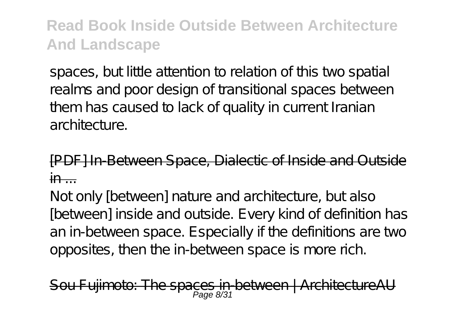spaces, but little attention to relation of this two spatial realms and poor design of transitional spaces between them has caused to lack of quality in current Iranian architecture

[PDF] In-Between Space, Dialectic of Inside and Out  $in$   $-$ 

Not only [between] nature and architecture, but also [between] inside and outside. Every kind of definition has an in-between space. Especially if the definitions are two opposites, then the in-between space is more rich.

Fujimoto: The spaces in-between | ArchitectureAU  $P$ age  $8/3$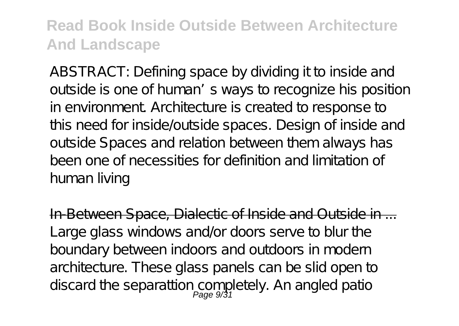ABSTRACT: Defining space by dividing it to inside and outside is one of human's ways to recognize his position in environment. Architecture is created to response to this need for inside/outside spaces. Design of inside and outside Spaces and relation between them always has been one of necessities for definition and limitation of human living

In-Between Space, Dialectic of Inside and Outside in ... Large glass windows and/or doors serve to blur the boundary between indoors and outdoors in modern architecture. These glass panels can be slid open to discard the separattion completely. An angled patio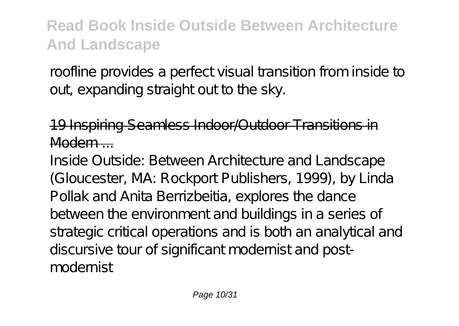roofline provides a perfect visual transition from inside to out expanding straight out to the sky.

#### 19 Inspiring Seamless Indoor/Outdoor Transitions in Modern ...

Inside Outside: Between Architecture and Landscape (Gloucester, MA: Rockport Publishers, 1999), by Linda Pollak and Anita Berrizbeitia, explores the dance between the environment and buildings in a series of strategic critical operations and is both an analytical and discursive tour of significant modernist and postmodernist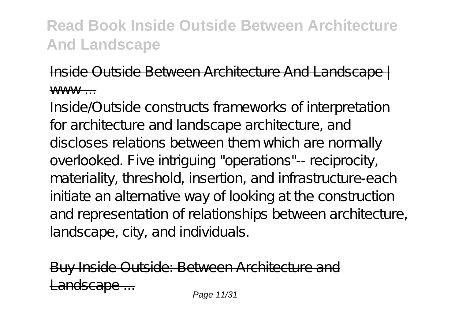#### Inside Outside Between Architecture And Landscape | www

Inside/Outside constructs frameworks of interpretation for architecture and landscape architecture, and discloses relations between them which are normally overlooked. Five intriguing "operations"-- reciprocity, materiality, threshold, insertion, and infrastructure-each initiate an alternative way of looking at the construction and representation of relationships between architecture, landscape, city, and individuals.

side Outside: Between Architecture and Landscape ... Page 11/31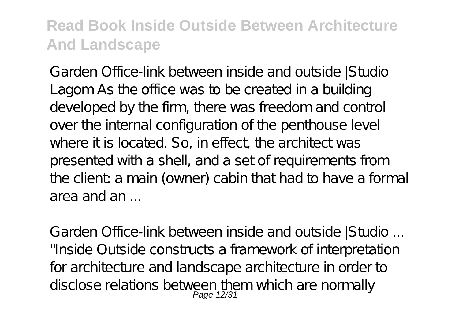Garden Office-link between inside and outside |Studio Lagom As the office was to be created in a building developed by the firm, there was freedom and control over the internal configuration of the penthouse level where it is located. So, in effect, the architect was presented with a shell, and a set of requirements from the client: a main (owner) cabin that had to have a formal area and an ...

Garden Office-link between inside and outside IS tudio ... "Inside Outside constructs a framework of interpretation for architecture and landscape architecture in order to disclose relations between them which are normally<br>Page 12/31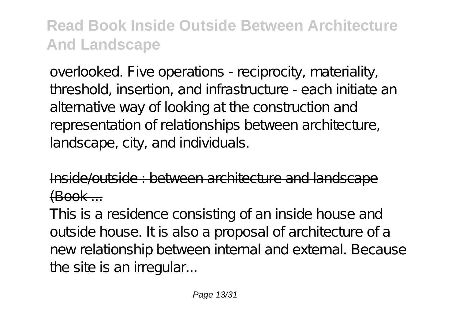overlooked. Five operations - reciprocity, materiality, threshold, insertion, and infrastructure - each initiate an alternative way of looking at the construction and representation of relationships between architecture, landscape, city, and individuals.

 $\omega$ utside : between architecture and landsca  $f$  $R$ ook  $\ldots$ 

This is a residence consisting of an inside house and outside house. It is also a proposal of architecture of a new relationship between internal and external. Because the site is an irregular...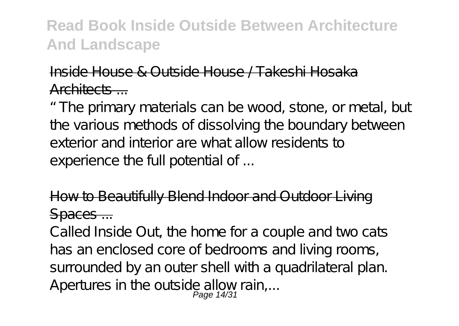#### Inside House & Outside House / Takeshi Hosaka Architects ...

"The primary materials can be wood, stone, or metal, but the various methods of dissolving the boundary between exterior and interior are what allow residents to experience the full potential of ...

#### How to Beautifully Blend Indoor and Outdoor Living Spaces ...

Called Inside Out, the home for a couple and two cats has an enclosed core of bedrooms and living rooms, surrounded by an outer shell with a quadrilateral plan. Apertures in the outside allow rain,...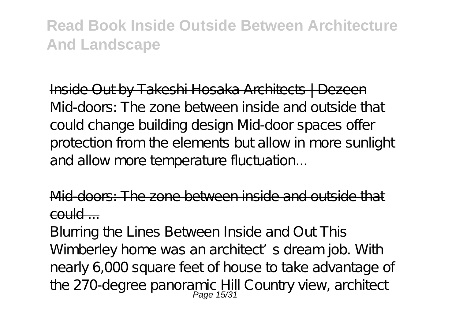Inside Out by Takeshi Hosaka Architects | Dezeen Mid-doors: The zone between inside and outside that could change building design Mid-door spaces offer protection from the elements but allow in more sunlight and allow more temperature fluctuation...

Mid-doors: The zone between inside and outsid  $\epsilon$ ould  $\epsilon$ 

Blurring the Lines Between Inside and Out This Wimberley home was an architect's dream job. With nearly 6,000 square feet of house to take advantage of the 270-degree panoramic Hill Country view, architect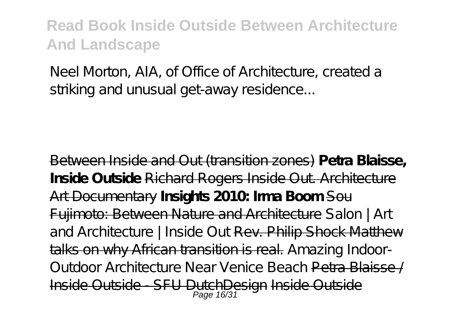Neel Morton, AIA, of Office of Architecture, created a striking and unusual get-away residence...

Between Inside and Out (transition zones) **Petra Blaisse, Inside Outside** Richard Rogers Inside Out. Architecture Art Documentary **Insights 2010: Irma Boom** Sou Fujimoto: Between Nature and Architecture *Salon | Art* and Architecture | Inside Out Rev. Philip Shock Matthew talks on why African transition is real. *Amazing Indoor-Outdoor Architecture Near Venice Beach* Petra Blaisse / Inside Outside - SFU DutchDesign Inside Outside Page 16/31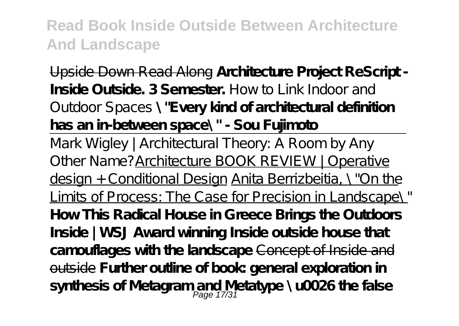Upside Down Read Along **Architecture Project ReScript - Inside Outside. 3 Semester.** *How to Link Indoor and Outdoor Spaces* **\"Every kind of architectural definition has an in-between space\" - Sou Fujimoto**

Mark Wigley | Architectural Theory: A Room by Any Other Name?Architecture BOOK REVIEW | Operative design + Conditional Design Anita Berrizbeitia, \"On the Limits of Process: The Case for Precision in Landscape\" **How This Radical House in Greece Brings the Outdoors Inside | WSJ Award winning Inside outside house that camouflages with the landscape** Concept of Inside and outside **Further outline of book: general exploration in synthesis of Metagram and Metatype \u0026 the false** Page 17/31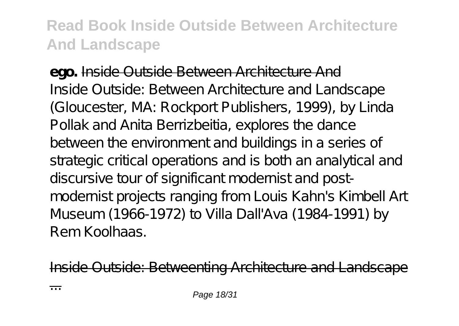**ego.** Inside Outside Between Architecture And Inside Outside: Between Architecture and Landscape (Gloucester, MA: Rockport Publishers, 1999), by Linda Pollak and Anita Berrizbeitia, explores the dance between the environment and buildings in a series of strategic critical operations and is both an analytical and discursive tour of significant modernist and postmodernist projects ranging from Louis Kahn's Kimbell Art Museum (1966-1972) to Villa Dall'Ava (1984-1991) by Rem Koolhaas.

Inside Outside: Betweenting Architecture and Landscape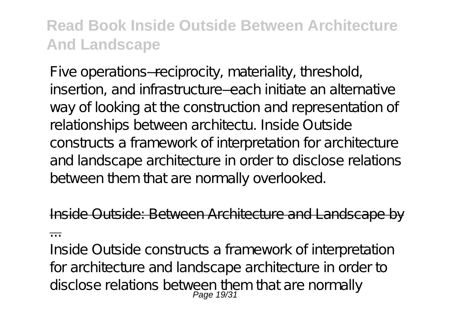Five operations—reciprocity, materiality, threshold, insertion, and infrastructure—each initiate an alternative way of looking at the construction and representation of relationships between architectu. Inside Outside constructs a framework of interpretation for architecture and landscape architecture in order to disclose relations between them that are normally overlooked.

side Outside: Between Architecture and Landscape ...

Inside Outside constructs a framework of interpretation for architecture and landscape architecture in order to disclose relations between them that are normally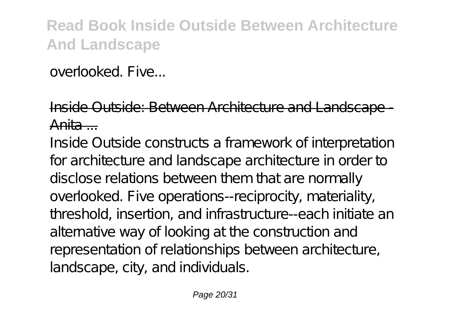overlooked. Five...

#### Inside Outside: Between Architecture and Landscape Anita ...

Inside Outside constructs a framework of interpretation for architecture and landscape architecture in order to disclose relations between them that are normally overlooked. Five operations--reciprocity, materiality, threshold, insertion, and infrastructure--each initiate an alternative way of looking at the construction and representation of relationships between architecture, landscape, city, and individuals.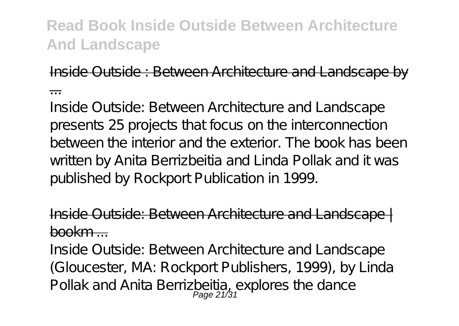Inside Outside : Between Architecture and Landscape by

...

Inside Outside: Between Architecture and Landscape presents 25 projects that focus on the interconnection between the interior and the exterior. The book has been written by Anita Berrizbeitia and Linda Pollak and it was published by Rockport Publication in 1999.

Outside: Between Architecture and Landsca  $h \Omega$ ookm  $\sim$ 

Inside Outside: Between Architecture and Landscape (Gloucester, MA: Rockport Publishers, 1999), by Linda Pollak and Anita Berrizbeitia, explores the dance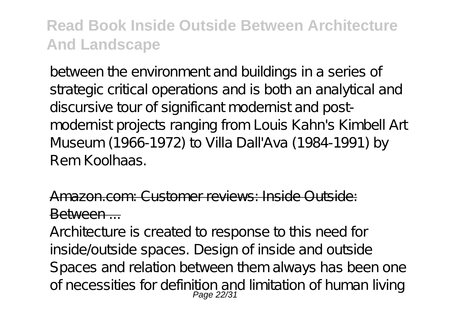between the environment and buildings in a series of strategic critical operations and is both an analytical and discursive tour of significant modernist and postmodernist projects ranging from Louis Kahn's Kimbell Art Museum (1966-1972) to Villa Dall'Ava (1984-1991) by Rem Koolhaas.

#### Amazon.com: Customer reviews: Inside Outside: Between ...

Architecture is created to response to this need for inside/outside spaces. Design of inside and outside Spaces and relation between them always has been one of necessities for definition and limitation of human living<br>Page 22/31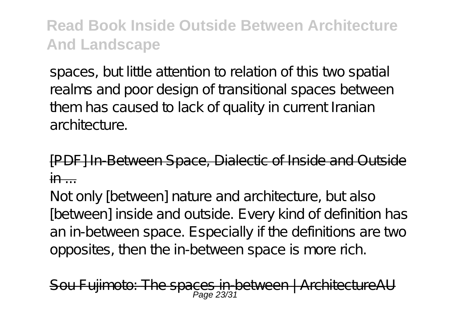spaces, but little attention to relation of this two spatial realms and poor design of transitional spaces between them has caused to lack of quality in current Iranian architecture

FHn-Between Space, Dialectic of Inside and Out  $in$   $-$ 

Not only [between] nature and architecture, but also [between] inside and outside. Every kind of definition has an in-between space. Especially if the definitions are two opposites, then the in-between space is more rich.

Fullmoto: The spaces in-between | ArchitectureAU Page 23/3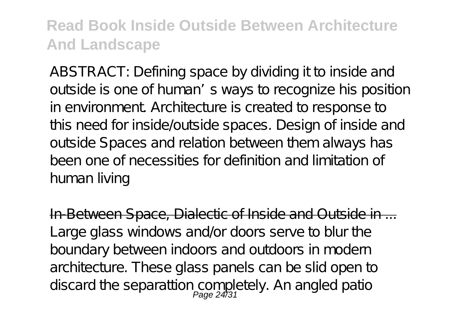ABSTRACT: Defining space by dividing it to inside and outside is one of human's ways to recognize his position in environment. Architecture is created to response to this need for inside/outside spaces. Design of inside and outside Spaces and relation between them always has been one of necessities for definition and limitation of human living

In-Between Space, Dialectic of Inside and Outside in ... Large glass windows and/or doors serve to blur the boundary between indoors and outdoors in modern architecture. These glass panels can be slid open to discard the separattion completely. An angled patio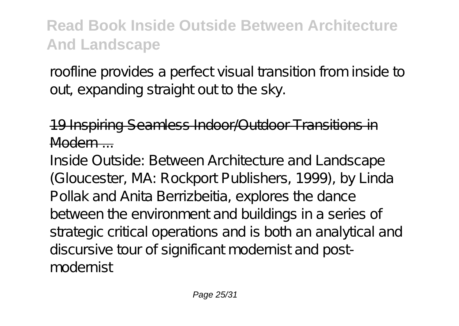roofline provides a perfect visual transition from inside to out expanding straight out to the sky.

#### 19 Inspiring Seamless Indoor/Outdoor Transitions in Modern ...

Inside Outside: Between Architecture and Landscape (Gloucester, MA: Rockport Publishers, 1999), by Linda Pollak and Anita Berrizbeitia, explores the dance between the environment and buildings in a series of strategic critical operations and is both an analytical and discursive tour of significant modernist and postmodernist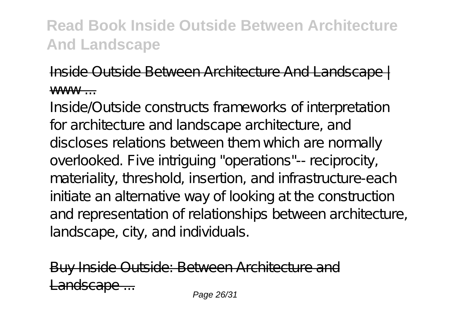#### Inside Outside Between Architecture And Landscape | www

Inside/Outside constructs frameworks of interpretation for architecture and landscape architecture, and discloses relations between them which are normally overlooked. Five intriguing "operations"-- reciprocity, materiality, threshold, insertion, and infrastructure-each initiate an alternative way of looking at the construction and representation of relationships between architecture, landscape, city, and individuals.

side Outside: Between Architecture and Landscape ... Page 26/31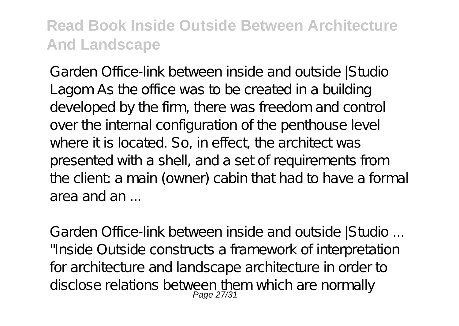Garden Office-link between inside and outside |Studio Lagom As the office was to be created in a building developed by the firm, there was freedom and control over the internal configuration of the penthouse level where it is located. So, in effect, the architect was presented with a shell, and a set of requirements from the client: a main (owner) cabin that had to have a formal area and an ...

Garden Office-link between inside and outside IS tudio ... "Inside Outside constructs a framework of interpretation for architecture and landscape architecture in order to disclose relations between them which are normally<br>Page 27/31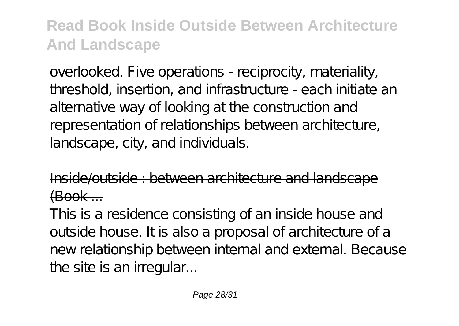overlooked. Five operations - reciprocity, materiality, threshold, insertion, and infrastructure - each initiate an alternative way of looking at the construction and representation of relationships between architecture, landscape, city, and individuals.

 $\omega$ utside : between architecture and landsca  $f$  $R$ ook  $\ldots$ 

This is a residence consisting of an inside house and outside house. It is also a proposal of architecture of a new relationship between internal and external. Because the site is an irregular...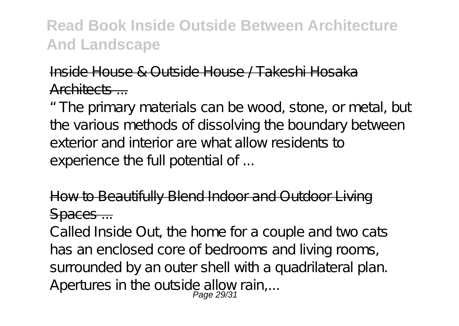#### Inside House & Outside House / Takeshi Hosaka Architects ...

"The primary materials can be wood, stone, or metal, but the various methods of dissolving the boundary between exterior and interior are what allow residents to experience the full potential of ...

#### How to Beautifully Blend Indoor and Outdoor Living Spaces ...

Called Inside Out, the home for a couple and two cats has an enclosed core of bedrooms and living rooms, surrounded by an outer shell with a quadrilateral plan. Apertures in the outside allow rain,...<br>Page 29/31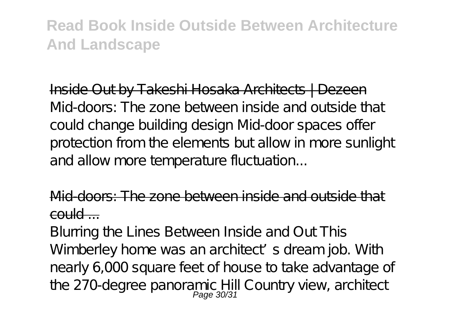Inside Out by Takeshi Hosaka Architects | Dezeen Mid-doors: The zone between inside and outside that could change building design Mid-door spaces offer protection from the elements but allow in more sunlight and allow more temperature fluctuation...

Mid-doors: The zone between inside and outsid  $\epsilon$ ould  $\epsilon$ 

Blurring the Lines Between Inside and Out This Wimberley home was an architect's dream job. With nearly 6,000 square feet of house to take advantage of the 270-degree panoramic Hill Country view, architect